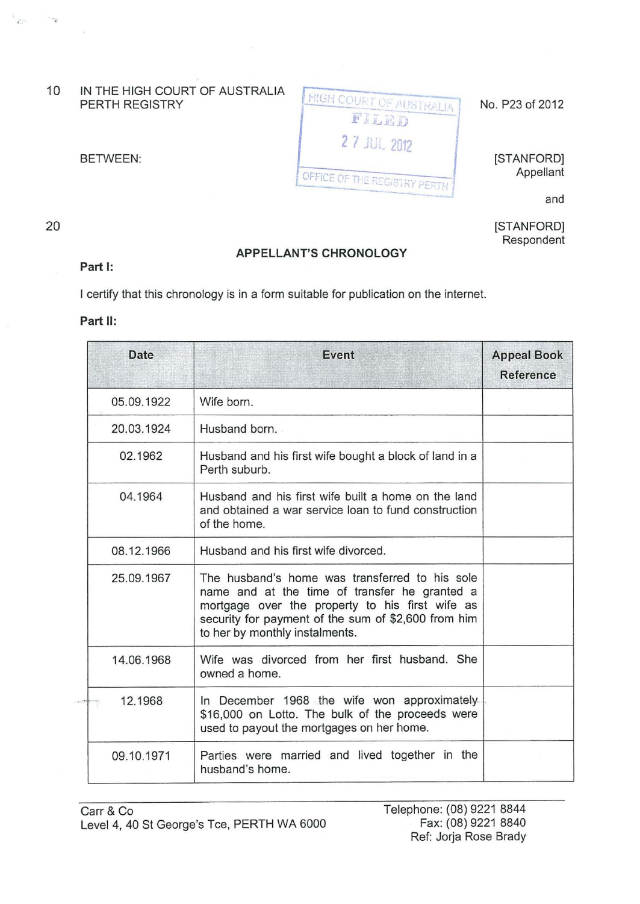10 IN THE HIGH COURT OF AUSTRALIA

| <b>I HIGH COURT OF AUSTRALIA'</b><br>FILED | No. P23 of 2012 |
|--------------------------------------------|-----------------|
| 27 JUL 2012                                | [STANFORD]      |
| <b>(OFFICE OF THE REGISTRY PERTH</b>       | Appellant       |
|                                            |                 |

and

[STANFORD] Respondent

## **Part 1:**

 $\sim$ 

 $\sim$   $\sim$ 

20

**APPELLANT'S CHRONOLOGY** 

I certify that this chronology is in a form suitable for publication on the internet.

## **Part II:**

| Date       | Event                                                                                                                                                                                                                                       | <b>Appeal Book</b><br><b>Reference</b> |
|------------|---------------------------------------------------------------------------------------------------------------------------------------------------------------------------------------------------------------------------------------------|----------------------------------------|
| 05.09.1922 | Wife born.                                                                                                                                                                                                                                  |                                        |
| 20.03.1924 | Husband born.                                                                                                                                                                                                                               |                                        |
| 02.1962    | Husband and his first wife bought a block of land in a<br>Perth suburb.                                                                                                                                                                     |                                        |
| 04.1964    | Husband and his first wife built a home on the land<br>and obtained a war service loan to fund construction<br>of the home.                                                                                                                 |                                        |
| 08.12.1966 | Husband and his first wife divorced.                                                                                                                                                                                                        |                                        |
| 25.09.1967 | The husband's home was transferred to his sole<br>name and at the time of transfer he granted a<br>mortgage over the property to his first wife as<br>security for payment of the sum of \$2,600 from him<br>to her by monthly instalments. |                                        |
| 14.06.1968 | Wife was divorced from her first husband. She<br>owned a home.                                                                                                                                                                              |                                        |
| 12.1968    | In December 1968 the wife won approximately<br>\$16,000 on Lotto. The bulk of the proceeds were<br>used to payout the mortgages on her home.                                                                                                |                                        |
| 09.10.1971 | Parties were married and lived together in the<br>husband's home.                                                                                                                                                                           |                                        |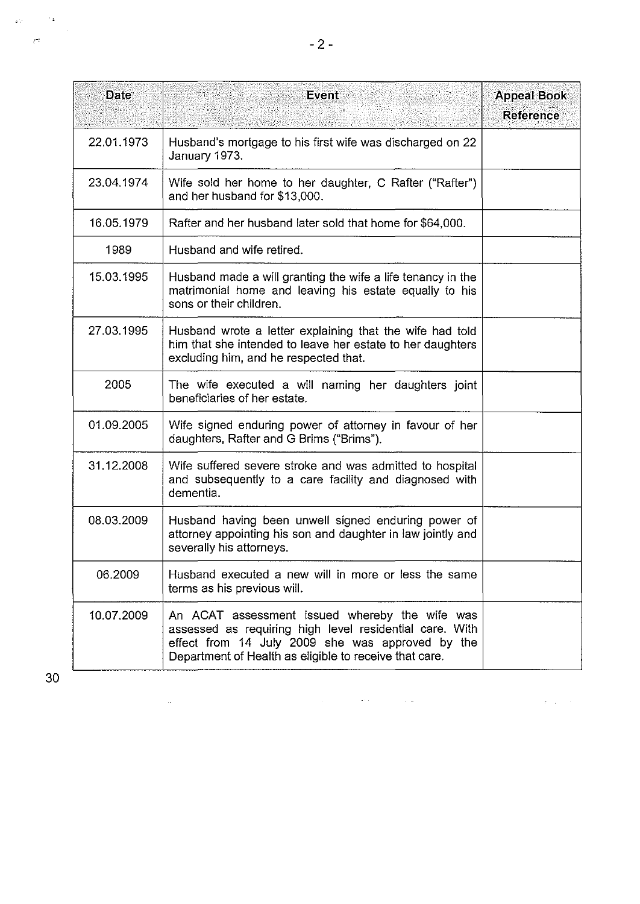| <b>Date</b> | Event                                                                                                                                                                                                                   | <b>Appeal Book</b><br><b>Reference</b> |
|-------------|-------------------------------------------------------------------------------------------------------------------------------------------------------------------------------------------------------------------------|----------------------------------------|
| 22.01.1973  | Husband's mortgage to his first wife was discharged on 22<br>January 1973.                                                                                                                                              |                                        |
| 23.04.1974  | Wife sold her home to her daughter, C Rafter ("Rafter")<br>and her husband for \$13,000.                                                                                                                                |                                        |
| 16.05.1979  | Rafter and her husband later sold that home for \$64,000.                                                                                                                                                               |                                        |
| 1989        | Husband and wife retired.                                                                                                                                                                                               |                                        |
| 15.03.1995  | Husband made a will granting the wife a life tenancy in the<br>matrimonial home and leaving his estate equally to his<br>sons or their children.                                                                        |                                        |
| 27.03.1995  | Husband wrote a letter explaining that the wife had told<br>him that she intended to leave her estate to her daughters<br>excluding him, and he respected that.                                                         |                                        |
| 2005        | The wife executed a will naming her daughters joint<br>beneficiaries of her estate.                                                                                                                                     |                                        |
| 01.09.2005  | Wife signed enduring power of attorney in favour of her<br>daughters, Rafter and G Brims ("Brims").                                                                                                                     |                                        |
| 31.12.2008  | Wife suffered severe stroke and was admitted to hospital<br>and subsequently to a care facility and diagnosed with<br>dementia.                                                                                         |                                        |
| 08.03.2009  | Husband having been unwell signed enduring power of<br>attorney appointing his son and daughter in law jointly and<br>severally his attorneys.                                                                          |                                        |
| 06.2009     | Husband executed a new will in more or less the same<br>terms as his previous will.                                                                                                                                     |                                        |
| 10.07.2009  | An ACAT assessment issued whereby the wife was<br>assessed as requiring high level residential care. With<br>effect from 14 July 2009 she was approved by the<br>Department of Health as eligible to receive that care. |                                        |

 $\mathcal{L}^{\mathcal{L}}(\mathcal{L}^{\mathcal{L}}(\mathcal{L}^{\mathcal{L}}(\mathcal{L}^{\mathcal{L}}(\mathcal{L}^{\mathcal{L}}(\mathcal{L}^{\mathcal{L}}(\mathcal{L}^{\mathcal{L}}(\mathcal{L}^{\mathcal{L}}(\mathcal{L}^{\mathcal{L}}(\mathcal{L}^{\mathcal{L}}(\mathcal{L}^{\mathcal{L}}(\mathcal{L}^{\mathcal{L}}(\mathcal{L}^{\mathcal{L}}(\mathcal{L}^{\mathcal{L}}(\mathcal{L}^{\mathcal{L}}(\mathcal{L}^{\mathcal{L}}(\mathcal{L}^{\mathcal{L$ 

 $\label{eq:2} \mathcal{L}(\mathcal{L}^{\text{max}}_{\text{max}}(\mathbf{r}, \mathbf{r})) = \mathcal{L}(\mathcal{L}^{\text{max}}_{\text{max}}(\mathbf{r}, \mathbf{r}))$ 

 $30<sub>o</sub>$ 

 $\sim$   $\sigma$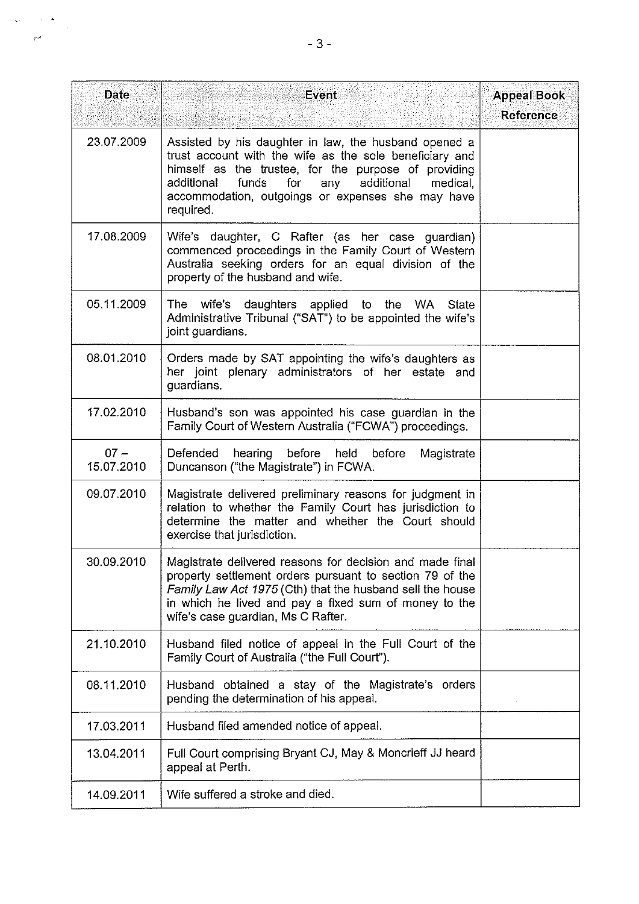| <b>Date</b>          | <b>Event</b>                                                                                                                                                                                                                                                                                  | <b>Appeal Book</b><br><b>Reference</b> |
|----------------------|-----------------------------------------------------------------------------------------------------------------------------------------------------------------------------------------------------------------------------------------------------------------------------------------------|----------------------------------------|
| 23.07.2009           | Assisted by his daughter in law, the husband opened a<br>trust account with the wife as the sole beneficiary and<br>himself as the trustee, for the purpose of providing<br>funds for any additional medical,<br>additional<br>accommodation, outgoings or expenses she may have<br>required. |                                        |
| 17.08.2009           | Wife's daughter, C Rafter (as her case guardian)<br>commenced proceedings in the Family Court of Western<br>Australia seeking orders for an equal division of the<br>property of the husband and wife.                                                                                        |                                        |
| 05.11.2009           | The wife's daughters applied to the WA<br>State<br>Administrative Tribunal ("SAT") to be appointed the wife's<br>joint guardians.                                                                                                                                                             |                                        |
| 08.01.2010           | Orders made by SAT appointing the wife's daughters as<br>her joint plenary administrators of her estate and<br>guardians.                                                                                                                                                                     |                                        |
| 17.02.2010           | Husband's son was appointed his case guardian in the<br>Family Court of Western Australia ("FCWA") proceedings.                                                                                                                                                                               |                                        |
| $07 -$<br>15.07.2010 | Defended<br>hearing before held before<br>Magistrate<br>Duncanson ("the Magistrate") in FCWA.                                                                                                                                                                                                 |                                        |
| 09.07.2010           | Magistrate delivered preliminary reasons for judgment in<br>relation to whether the Family Court has jurisdiction to<br>determine the matter and whether the Court should<br>exercise that jurisdiction.                                                                                      |                                        |
| 30.09.2010           | Magistrate delivered reasons for decision and made final<br>property settlement orders pursuant to section 79 of the<br>Family Law Act 1975 (Cth) that the husband sell the house<br>in which he lived and pay a fixed sum of money to the<br>wife's case guardian, Ms C Rafter.              |                                        |
| 21.10.2010           | Husband filed notice of appeal in the Full Court of the<br>Family Court of Australia ("the Full Court").                                                                                                                                                                                      |                                        |
| 08.11.2010           | Husband obtained a stay of the Magistrate's orders<br>pending the determination of his appeal.                                                                                                                                                                                                |                                        |
| 17.03.2011           | Husband filed amended notice of appeal.                                                                                                                                                                                                                                                       |                                        |
| 13.04.2011           | Full Court comprising Bryant CJ, May & Moncrieff JJ heard<br>appeal at Perth.                                                                                                                                                                                                                 |                                        |
| 14.09.2011           | Wife suffered a stroke and died.                                                                                                                                                                                                                                                              |                                        |

 $\label{eq:z} \begin{split} \mathbf{z}_i \mathbf{z}_j^{\prime} &= \mathbf{z}_i^{\prime} \mathbf{z}_j^{\prime} \\ & \qquad \qquad \mathbf{z}_i^{\prime} \mathbf{z}_j^{\prime} \\ & \qquad \qquad \mathbf{z}_j^{\prime} \mathbf{z}_j^{\prime} \\ & \qquad \qquad \mathbf{z}_j^{\prime} \mathbf{z}_j^{\prime} \\ & \qquad \qquad \mathbf{z}_j^{\prime} \mathbf{z}_j^{\prime} \\ & \qquad \qquad \mathbf{z}_j^{\prime} \mathbf{z}_j^{\prime} \\ & \qquad \qquad \mathbf{z}_j^{\$